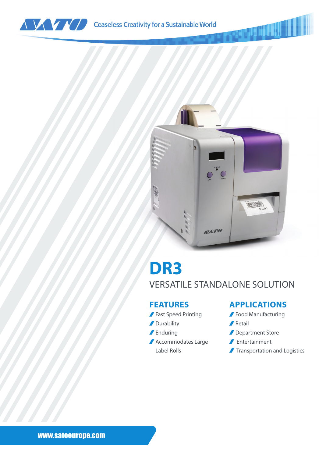



## **DR3** VERSATILE STANDALONE SOLUTION

#### **FEATURES**

- Fast Speed Printing
- **Durability**
- Enduring
- Accommodates Large Label Rolls

#### **APPLICATIONS**

- **Food Manufacturing**
- **∕** Retail
- Department Store
- Entertainment
- **Transportation and Logistics**